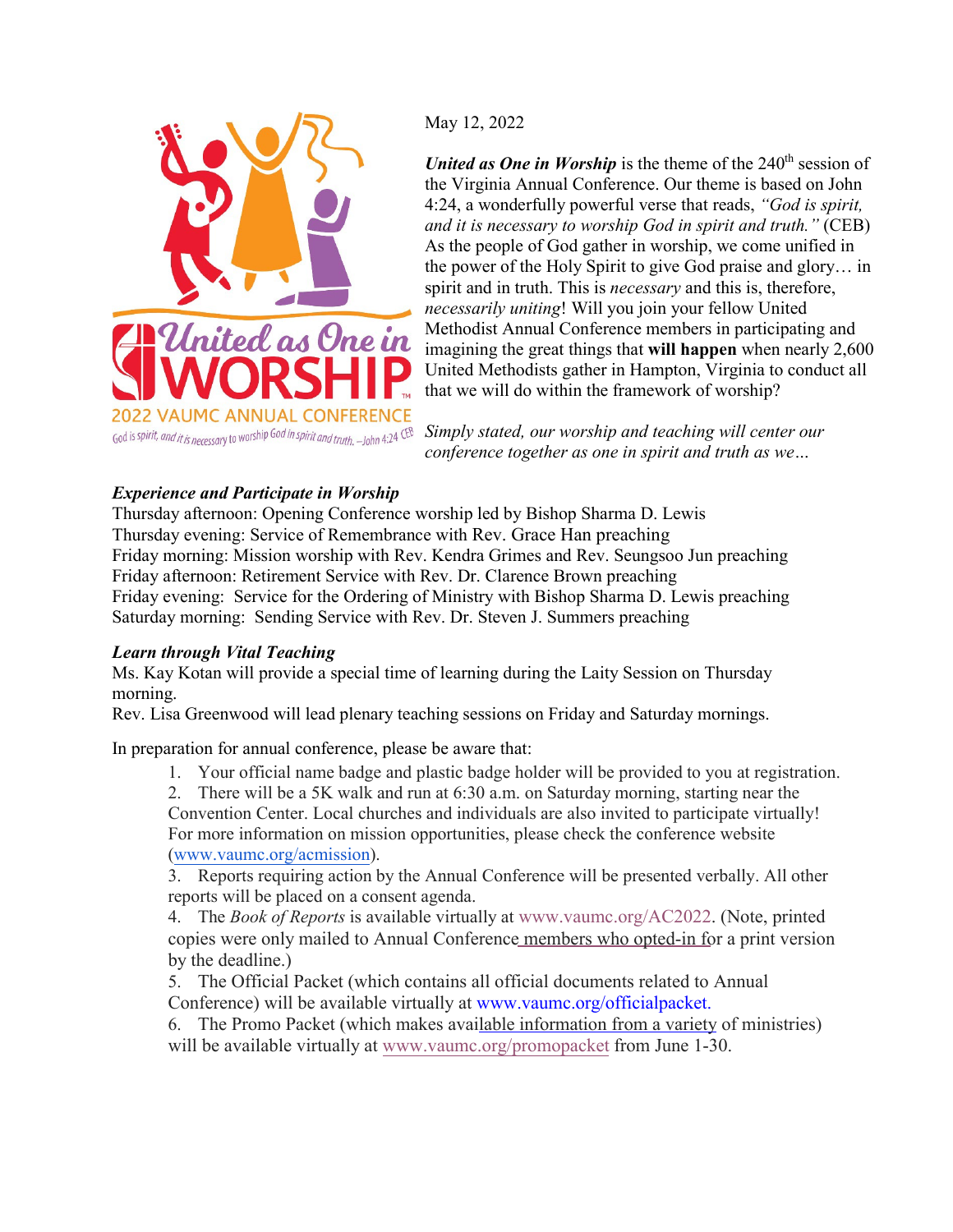

May 12, 2022

*United as One in Worship* is the theme of the 240<sup>th</sup> session of the Virginia Annual Conference. Our theme is based on John 4:24, a wonderfully powerful verse that reads, *"God is spirit, and it is necessary to worship God in spirit and truth."* (CEB) As the people of God gather in worship, we come unified in the power of the Holy Spirit to give God praise and glory… in spirit and in truth. This is *necessary* and this is, therefore, *necessarily uniting*! Will you join your fellow United Methodist Annual Conference members in participating and imagining the great things that **will happen** when nearly 2,600 United Methodists gather in Hampton, Virginia to conduct all that we will do within the framework of worship?

*Simply stated, our worship and teaching will center our conference together as one in spirit and truth as we…* 

## *Experience and Participate in Worship*

Thursday afternoon: Opening Conference worship led by Bishop Sharma D. Lewis Thursday evening: Service of Remembrance with Rev. Grace Han preaching Friday morning: Mission worship with Rev. Kendra Grimes and Rev. Seungsoo Jun preaching Friday afternoon: Retirement Service with Rev. Dr. Clarence Brown preaching Friday evening: Service for the Ordering of Ministry with Bishop Sharma D. Lewis preaching Saturday morning: Sending Service with Rev. Dr. Steven J. Summers preaching

## *Learn through Vital Teaching*

Ms. Kay Kotan will provide a special time of learning during the Laity Session on Thursday morning.

Rev. Lisa Greenwood will lead plenary teaching sessions on Friday and Saturday mornings.

In preparation for annual conference, please be aware that:

1. Your official name badge and plastic badge holder will be provided to you at registration.

2. There will be a 5K walk and run at 6:30 a.m. on Saturday morning, starting near the Convention Center. Local churches and individuals are also invited to participate virtually! For more information on mission opportunities, please check the conference website [\(www.vaumc.org/acmission\).](http://www.vaumc.org/acmission)

3. Reports requiring action by the Annual Conference will be presented verbally. All other reports will be placed on a consent agenda.

4. The *Book of Reports* is available virtually at [www.vaumc.org/AC2022.](http://www.vaumc.org/AC2022) (Note, printed copies were only mailed to Annual Conference members who opted-in for a print version by the deadline.)

5. The Official Packet (which contains all official documents related to Annual Conference) will be available virtually at www.vaumc.org/officialpacket.

6. The Promo Packet (which makes ava[ilable information from a variety](http://www.vaumc.org/officialpacket) of ministries) will be available virtually at www.vaume.org/promopacket from June 1-30.